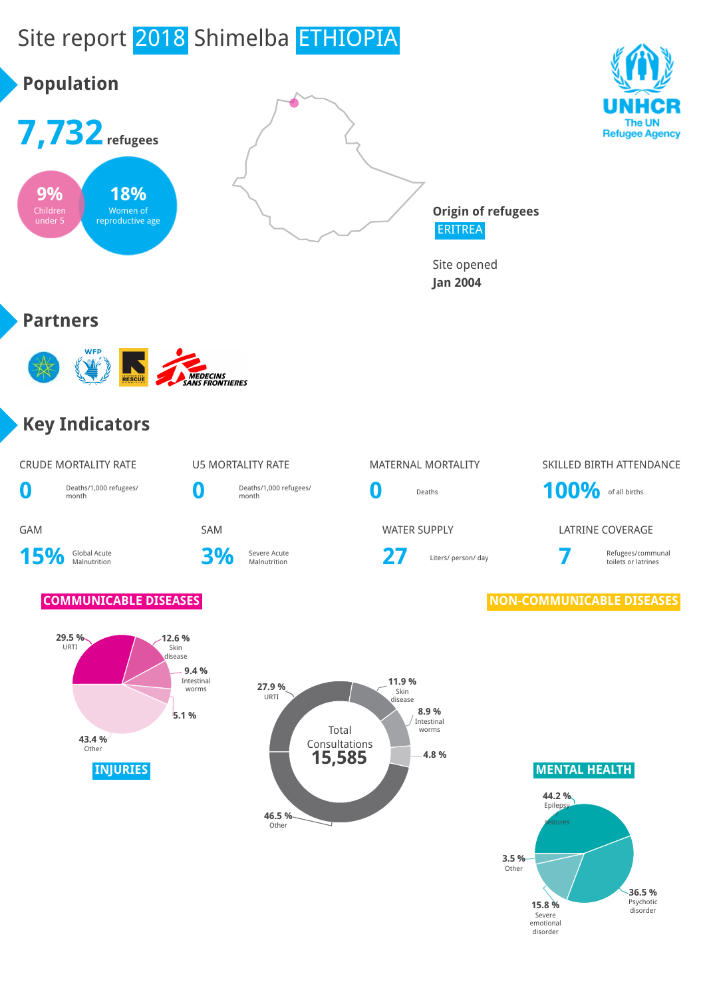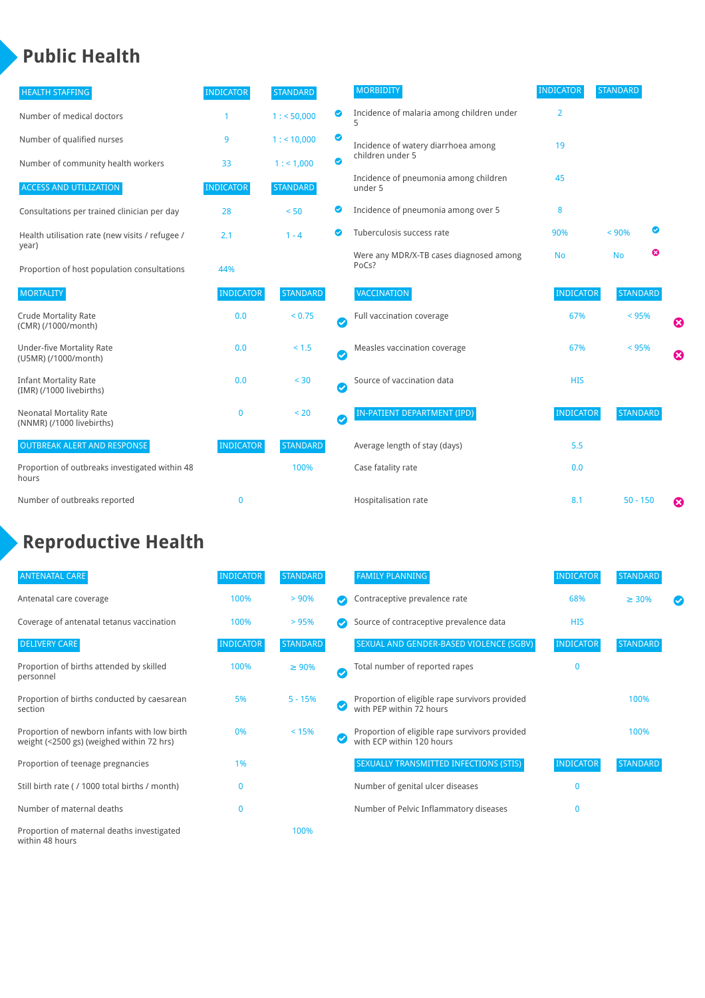### **Public Health**

| <b>HEALTH STAFFING</b>                                      | <b>INDICATOR</b> | <b>STANDARD</b> |           | <b>MORBIDITY</b>                                 | <b>INDICATOR</b> | <b>STANDARD</b> |   |                       |
|-------------------------------------------------------------|------------------|-----------------|-----------|--------------------------------------------------|------------------|-----------------|---|-----------------------|
| Number of medical doctors                                   |                  | 1: 50,000       | ◉         | Incidence of malaria among children under        | $\overline{2}$   |                 |   |                       |
| Number of qualified nurses                                  | 9                | $1:$ < 10,000   | ◎         | Incidence of watery diarrhoea among              | 19               |                 |   |                       |
| Number of community health workers                          | 33               | 1: 1,000        | ◙         | children under 5                                 |                  |                 |   |                       |
| <b>ACCESS AND UTILIZATION</b>                               | <b>INDICATOR</b> | <b>STANDARD</b> |           | Incidence of pneumonia among children<br>under 5 | 45               |                 |   |                       |
| Consultations per trained clinician per day                 | 28               | < 50            | ◙         | Incidence of pneumonia among over 5              | 8                |                 |   |                       |
| Health utilisation rate (new visits / refugee /             | 2.1              | $1 - 4$         |           | Tuberculosis success rate                        | 90%              | < 90%           | ☑ |                       |
| year)<br>Proportion of host population consultations        | 44%              |                 |           | Were any MDR/X-TB cases diagnosed among<br>PoCs? | <b>No</b>        | <b>No</b>       | ☺ |                       |
| <b>MORTALITY</b>                                            | <b>INDICATOR</b> | <b>STANDARD</b> |           | <b>VACCINATION</b>                               | <b>INDICATOR</b> | <b>STANDARD</b> |   |                       |
| <b>Crude Mortality Rate</b><br>(CMR) (/1000/month)          | 0.0              | < 0.75          | $\bullet$ | Full vaccination coverage                        | 67%              | $< 95\%$        |   | ☺                     |
| <b>Under-five Mortality Rate</b><br>(U5MR) (/1000/month)    | 0.0              | $< 1.5$         | Ø         | Measles vaccination coverage                     | 67%              | < 95%           |   | $\boldsymbol{\Omega}$ |
| <b>Infant Mortality Rate</b><br>(IMR) (/1000 livebirths)    | 0.0              | < 30            | $\bullet$ | Source of vaccination data                       | <b>HIS</b>       |                 |   |                       |
| <b>Neonatal Mortality Rate</b><br>(NNMR) (/1000 livebirths) | $\mathbf 0$      | < 20            | $\bullet$ | <b>IN-PATIENT DEPARTMENT (IPD)</b>               | <b>INDICATOR</b> | <b>STANDARD</b> |   |                       |
| <b>OUTBREAK ALERT AND RESPONSE</b>                          | <b>INDICATOR</b> | <b>STANDARD</b> |           | Average length of stay (days)                    | 5.5              |                 |   |                       |
| Proportion of outbreaks investigated within 48<br>hours     |                  | 100%            |           | Case fatality rate                               | 0.0              |                 |   |                       |
| Number of outbreaks reported                                | $\mathbf 0$      |                 |           | Hospitalisation rate                             | 8.1              | $50 - 150$      |   | €                     |

## **Reproductive Health**

| <b>ANTENATAL CARE</b>                                                                     | <b>INDICATOR</b> | <b>STANDARD</b> | <b>FAMILY PLANNING</b>                                                      | <b>INDICATOR</b> | <b>STANDARD</b> |  |
|-------------------------------------------------------------------------------------------|------------------|-----------------|-----------------------------------------------------------------------------|------------------|-----------------|--|
| Antenatal care coverage                                                                   | 100%             | > 90%           | Contraceptive prevalence rate                                               | 68%              | $\geq 30\%$     |  |
| Coverage of antenatal tetanus vaccination                                                 | 100%             | >95%            | Source of contraceptive prevalence data                                     | <b>HIS</b>       |                 |  |
| <b>DELIVERY CARE</b>                                                                      | <b>INDICATOR</b> | <b>STANDARD</b> | SEXUAL AND GENDER-BASED VIOLENCE (SGBV)                                     | <b>INDICATOR</b> | <b>STANDARD</b> |  |
| Proportion of births attended by skilled<br>personnel                                     | 100%             | $\geq 90\%$     | Total number of reported rapes                                              | $\Omega$         |                 |  |
| Proportion of births conducted by caesarean<br>section                                    | 5%               | $5 - 15%$       | Proportion of eligible rape survivors provided<br>with PEP within 72 hours  |                  | 100%            |  |
| Proportion of newborn infants with low birth<br>weight (<2500 gs) (weighed within 72 hrs) | 0%               | < 15%           | Proportion of eligible rape survivors provided<br>with ECP within 120 hours |                  | 100%            |  |
| Proportion of teenage pregnancies                                                         | 1%               |                 | SEXUALLY TRANSMITTED INFECTIONS (STIS)                                      | <b>INDICATOR</b> | <b>STANDARD</b> |  |
| Still birth rate (/1000 total births / month)                                             |                  |                 | Number of genital ulcer diseases                                            | $\mathbf{0}$     |                 |  |
| Number of maternal deaths                                                                 | 0                |                 | Number of Pelvic Inflammatory diseases                                      | 0                |                 |  |
| Proportion of maternal deaths investigated<br>within 48 hours                             |                  | 100%            |                                                                             |                  |                 |  |